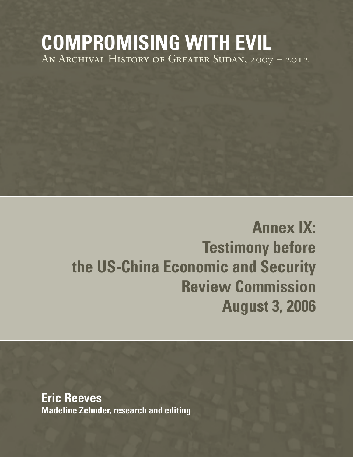## **COMPROMISING WITH EVIL** An Archival History of Greater Sudan, 2007 – 2012

# **Annex IX: Testimony before the US-China Economic and Security Review Commission August 3, 2006**

**Eric Reeves Madeline Zehnder, research and editing**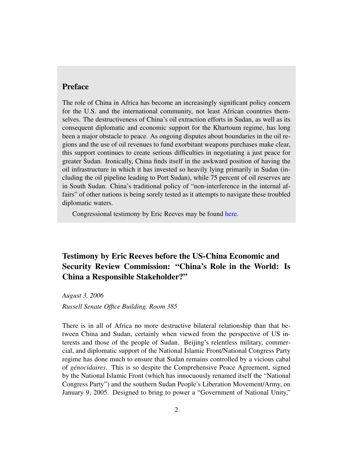#### Preface

The role of China in Africa has become an increasingly significant policy concern for the U.S. and the international community, not least African countries themselves. The destructiveness of China's oil extraction efforts in Sudan, as well as its consequent diplomatic and economic support for the Khartoum regime, has long been a major obstacle to peace. As ongoing disputes about boundaries in the oil regions and the use of oil revenues to fund exorbitant weapons purchases make clear, this support continues to create serious difficulties in negotiating a just peace for greater Sudan. Ironically, China finds itself in the awkward position of having the oil infrastructure in which it has invested so heavily lying primarily in Sudan (including the oil pipeline leading to Port Sudan), while 75 percent of oil reserves are in South Sudan. China's traditional policy of "non-interference in the internal affairs" of other nations is being sorely tested as it attempts to navigate these troubled diplomatic waters.

Congressional testimony by Eric Reeves may be found [here.](http://www.sudanreeves.org/category/congressional-testimony/ )

### Testimony by Eric Reeves before the US-China Economic and Security Review Commission: "China's Role in the World: Is China a Responsible Stakeholder?"

*August 3, 2006*

*Russell Senate Office Building, Room 385*

There is in all of Africa no more destructive bilateral relationship than that between China and Sudan, certainly when viewed from the perspective of US interests and those of the people of Sudan. Beijing's relentless military, commercial, and diplomatic support of the National Islamic Front/National Congress Party regime has done much to ensure that Sudan remains controlled by a vicious cabal of *genocidaires ´* . This is so despite the Comprehensive Peace Agreement, signed by the National Islamic Front (which has innocuously renamed itself the "National Congress Party") and the southern Sudan People's Liberation Movement/Army, on January 9, 2005. Designed to bring to power a "Government of National Unity,"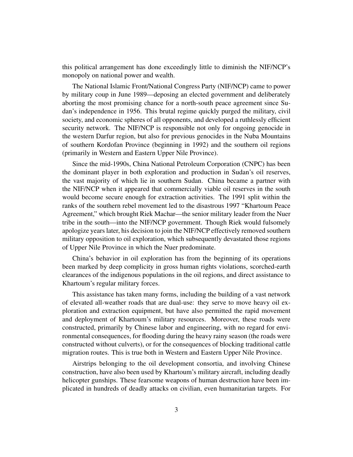this political arrangement has done exceedingly little to diminish the NIF/NCP's monopoly on national power and wealth.

The National Islamic Front/National Congress Party (NIF/NCP) came to power by military coup in June 1989—deposing an elected government and deliberately aborting the most promising chance for a north-south peace agreement since Sudan's independence in 1956. This brutal regime quickly purged the military, civil society, and economic spheres of all opponents, and developed a ruthlessly efficient security network. The NIF/NCP is responsible not only for ongoing genocide in the western Darfur region, but also for previous genocides in the Nuba Mountains of southern Kordofan Province (beginning in 1992) and the southern oil regions (primarily in Western and Eastern Upper Nile Province).

Since the mid-1990s, China National Petroleum Corporation (CNPC) has been the dominant player in both exploration and production in Sudan's oil reserves, the vast majority of which lie in southern Sudan. China became a partner with the NIF/NCP when it appeared that commercially viable oil reserves in the south would become secure enough for extraction activities. The 1991 split within the ranks of the southern rebel movement led to the disastrous 1997 "Khartoum Peace Agreement," which brought Riek Machar—the senior military leader from the Nuer tribe in the south—into the NIF/NCP government. Though Riek would fulsomely apologize years later, his decision to join the NIF/NCP effectively removed southern military opposition to oil exploration, which subsequently devastated those regions of Upper Nile Province in which the Nuer predominate.

China's behavior in oil exploration has from the beginning of its operations been marked by deep complicity in gross human rights violations, scorched-earth clearances of the indigenous populations in the oil regions, and direct assistance to Khartoum's regular military forces.

This assistance has taken many forms, including the building of a vast network of elevated all-weather roads that are dual-use: they serve to move heavy oil exploration and extraction equipment, but have also permitted the rapid movement and deployment of Khartoum's military resources. Moreover, these roads were constructed, primarily by Chinese labor and engineering, with no regard for environmental consequences, for flooding during the heavy rainy season (the roads were constructed without culverts), or for the consequences of blocking traditional cattle migration routes. This is true both in Western and Eastern Upper Nile Province.

Airstrips belonging to the oil development consortia, and involving Chinese construction, have also been used by Khartoum's military aircraft, including deadly helicopter gunships. These fearsome weapons of human destruction have been implicated in hundreds of deadly attacks on civilian, even humanitarian targets. For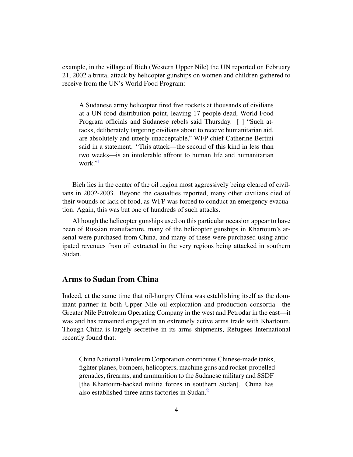example, in the village of Bieh (Western Upper Nile) the UN reported on February 21, 2002 a brutal attack by helicopter gunships on women and children gathered to receive from the UN's World Food Program:

A Sudanese army helicopter fired five rockets at thousands of civilians at a UN food distribution point, leaving 17 people dead, World Food Program officials and Sudanese rebels said Thursday. [ ] "Such attacks, deliberately targeting civilians about to receive humanitarian aid, are absolutely and utterly unacceptable," WFP chief Catherine Bertini said in a statement. "This attack—the second of this kind in less than two weeks—is an intolerable affront to human life and humanitarian work."<sup>[1](#page-13-0)</sup>

<span id="page-3-0"></span>Bieh lies in the center of the oil region most aggressively being cleared of civilians in 2002-2003. Beyond the casualties reported, many other civilians died of their wounds or lack of food, as WFP was forced to conduct an emergency evacuation. Again, this was but one of hundreds of such attacks.

Although the helicopter gunships used on this particular occasion appear to have been of Russian manufacture, many of the helicopter gunships in Khartoum's arsenal were purchased from China, and many of these were purchased using anticipated revenues from oil extracted in the very regions being attacked in southern Sudan.

#### Arms to Sudan from China

Indeed, at the same time that oil-hungry China was establishing itself as the dominant partner in both Upper Nile oil exploration and production consortia—the Greater Nile Petroleum Operating Company in the west and Petrodar in the east—it was and has remained engaged in an extremely active arms trade with Khartoum. Though China is largely secretive in its arms shipments, Refugees International recently found that:

<span id="page-3-1"></span>China National Petroleum Corporation contributes Chinese-made tanks, fighter planes, bombers, helicopters, machine guns and rocket-propelled grenades, firearms, and ammunition to the Sudanese military and SSDF [the Khartoum-backed militia forces in southern Sudan]. China has also established three arms factories in Sudan.[2](#page-13-1)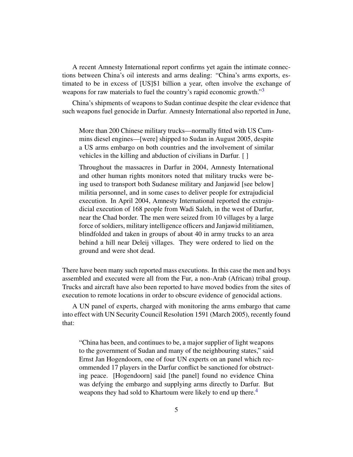A recent Amnesty International report confirms yet again the intimate connections between China's oil interests and arms dealing: "China's arms exports, estimated to be in excess of [US]\$1 billion a year, often involve the exchange of weapons for raw materials to fuel the country's rapid economic growth."<sup>[3](#page-13-2)</sup>

China's shipments of weapons to Sudan continue despite the clear evidence that such weapons fuel genocide in Darfur. Amnesty International also reported in June,

<span id="page-4-0"></span>More than 200 Chinese military trucks—normally fitted with US Cummins diesel engines—[were] shipped to Sudan in August 2005, despite a US arms embargo on both countries and the involvement of similar vehicles in the killing and abduction of civilians in Darfur. [ ]

Throughout the massacres in Darfur in 2004, Amnesty International and other human rights monitors noted that military trucks were being used to transport both Sudanese military and Janjawid [see below] militia personnel, and in some cases to deliver people for extrajudicial execution. In April 2004, Amnesty International reported the extrajudicial execution of 168 people from Wadi Saleh, in the west of Darfur, near the Chad border. The men were seized from 10 villages by a large force of soldiers, military intelligence officers and Janjawid militiamen, blindfolded and taken in groups of about 40 in army trucks to an area behind a hill near Deleij villages. They were ordered to lied on the ground and were shot dead.

There have been many such reported mass executions. In this case the men and boys assembled and executed were all from the Fur, a non-Arab (African) tribal group. Trucks and aircraft have also been reported to have moved bodies from the sites of execution to remote locations in order to obscure evidence of genocidal actions.

A UN panel of experts, charged with monitoring the arms embargo that came into effect with UN Security Council Resolution 1591 (March 2005), recently found that:

<span id="page-4-1"></span>"China has been, and continues to be, a major supplier of light weapons to the government of Sudan and many of the neighbouring states," said Ernst Jan Hogendoorn, one of four UN experts on an panel which recommended 17 players in the Darfur conflict be sanctioned for obstructing peace. [Hogendoorn] said [the panel] found no evidence China was defying the embargo and supplying arms directly to Darfur. But weapons they had sold to Khartoum were likely to end up there.<sup>[4](#page-13-3)</sup>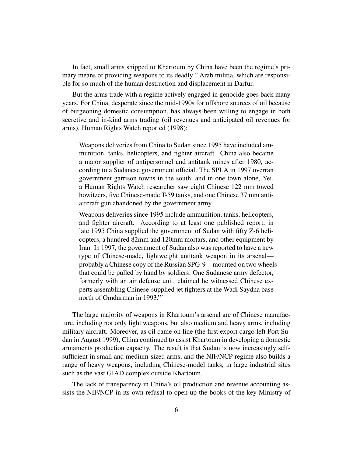In fact, small arms shipped to Khartoum by China have been the regime's primary means of providing weapons to its deadly " Arab militia, which are responsible for so much of the human destruction and displacement in Darfur.

But the arms trade with a regime actively engaged in genocide goes back many years. For China, desperate since the mid-1990s for offshore sources of oil because of burgeoning domestic consumption, has always been willing to engage in both secretive and in-kind arms trading (oil revenues and anticipated oil revenues for arms). Human Rights Watch reported (1998):

Weapons deliveries from China to Sudan since 1995 have included ammunition, tanks, helicopters, and fighter aircraft. China also became a major supplier of antipersonnel and antitank mines after 1980, according to a Sudanese government official. The SPLA in 1997 overran government garrison towns in the south, and in one town alone, Yei, a Human Rights Watch researcher saw eight Chinese 122 mm towed howitzers, five Chinese-made T-59 tanks, and one Chinese 37 mm antiaircraft gun abandoned by the government army.

Weapons deliveries since 1995 include ammunition, tanks, helicopters, and fighter aircraft. According to at least one published report, in late 1995 China supplied the government of Sudan with fifty Z-6 helicopters, a hundred 82mm and 120mm mortars, and other equipment by Iran. In 1997, the government of Sudan also was reported to have a new type of Chinese-made, lightweight antitank weapon in its arsenal probably a Chinese copy of the Russian SPG-9—mounted on two wheels that could be pulled by hand by soldiers. One Sudanese army defector, formerly with an air defense unit, claimed he witnessed Chinese experts assembling Chinese-supplied jet fighters at the Wadi Saydna base north of Omdurman in 1993."<sup>[5](#page-13-4)</sup>

<span id="page-5-0"></span>The large majority of weapons in Khartoum's arsenal are of Chinese manufacture, including not only light weapons, but also medium and heavy arms, including military aircraft. Moreover, as oil came on line (the first export cargo left Port Sudan in August 1999), China continued to assist Khartoum in developing a domestic armaments production capacity. The result is that Sudan is now increasingly selfsufficient in small and medium-sized arms, and the NIF/NCP regime also builds a range of heavy weapons, including Chinese-model tanks, in large industrial sites such as the vast GIAD complex outside Khartoum.

The lack of transparency in China's oil production and revenue accounting assists the NIF/NCP in its own refusal to open up the books of the key Ministry of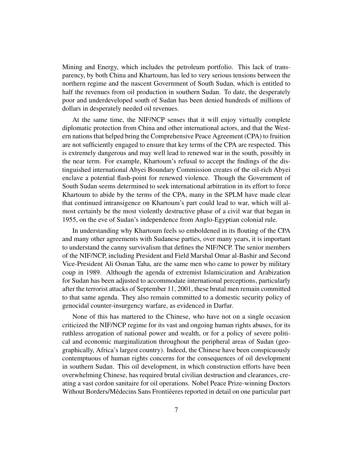Mining and Energy, which includes the petroleum portfolio. This lack of transparency, by both China and Khartoum, has led to very serious tensions between the northern regime and the nascent Government of South Sudan, which is entitled to half the revenues from oil production in southern Sudan. To date, the desperately poor and underdeveloped south of Sudan has been denied hundreds of millions of dollars in desperately needed oil revenues.

At the same time, the NIF/NCP senses that it will enjoy virtually complete diplomatic protection from China and other international actors, and that the Western nations that helped bring the Comprehensive Peace Agreement (CPA) to fruition are not sufficiently engaged to ensure that key terms of the CPA are respected. This is extremely dangerous and may well lead to renewed war in the south, possibly in the near term. For example, Khartoum's refusal to accept the findings of the distinguished international Abyei Boundary Commission creates of the oil-rich Abyei enclave a potential flash-point for renewed violence. Though the Government of South Sudan seems determined to seek international arbitration in its effort to force Khartoum to abide by the terms of the CPA, many in the SPLM have made clear that continued intransigence on Khartoum's part could lead to war, which will almost certainly be the most violently destructive phase of a civil war that began in 1955, on the eve of Sudan's independence from Anglo-Egyptian colonial rule.

In understanding why Khartoum feels so emboldened in its flouting of the CPA and many other agreements with Sudanese parties, over many years, it is important to understand the canny survivalism that defines the NIF/NCP. The senior members of the NIF/NCP, including President and Field Marshal Omar al-Bashir and Second Vice-President Ali Osman Taha, are the same men who came to power by military coup in 1989. Although the agenda of extremist Islamicization and Arabization for Sudan has been adjusted to accommodate international perceptions, particularly after the terrorist attacks of September 11, 2001, these brutal men remain committed to that same agenda. They also remain committed to a domestic security policy of genocidal counter-insurgency warfare, as evidenced in Darfur.

None of this has mattered to the Chinese, who have not on a single occasion criticized the NIF/NCP regime for its vast and ongoing human rights abuses, for its ruthless arrogation of national power and wealth, or for a policy of severe political and economic marginalization throughout the peripheral areas of Sudan (geographically, Africa's largest country). Indeed, the Chinese have been conspicuously contemptuous of human rights concerns for the consequences of oil development in southern Sudan. This oil development, in which construction efforts have been overwhelming Chinese, has required brutal civilian destruction and clearances, creating a vast cordon sanitaire for oil operations. Nobel Peace Prize-winning Doctors Without Borders/Médecins Sans Frontièeres reported in detail on one particular part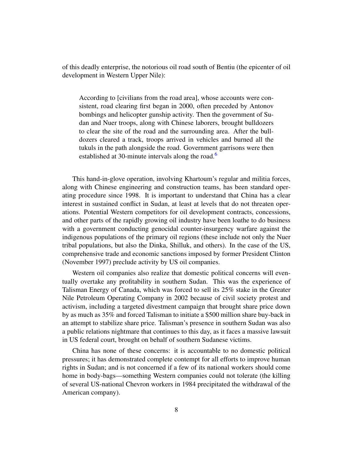of this deadly enterprise, the notorious oil road south of Bentiu (the epicenter of oil development in Western Upper Nile):

<span id="page-7-0"></span>According to [civilians from the road area], whose accounts were consistent, road clearing first began in 2000, often preceded by Antonov bombings and helicopter gunship activity. Then the government of Sudan and Nuer troops, along with Chinese laborers, brought bulldozers to clear the site of the road and the surrounding area. After the bulldozers cleared a track, troops arrived in vehicles and burned all the tukuls in the path alongside the road. Government garrisons were then established at 30-minute intervals along the road.<sup>[6](#page-13-5)</sup>

This hand-in-glove operation, involving Khartoum's regular and militia forces, along with Chinese engineering and construction teams, has been standard operating procedure since 1998. It is important to understand that China has a clear interest in sustained conflict in Sudan, at least at levels that do not threaten operations. Potential Western competitors for oil development contracts, concessions, and other parts of the rapidly growing oil industry have been loathe to do business with a government conducting genocidal counter-insurgency warfare against the indigenous populations of the primary oil regions (these include not only the Nuer tribal populations, but also the Dinka, Shilluk, and others). In the case of the US, comprehensive trade and economic sanctions imposed by former President Clinton (November 1997) preclude activity by US oil companies.

Western oil companies also realize that domestic political concerns will eventually overtake any profitability in southern Sudan. This was the experience of Talisman Energy of Canada, which was forced to sell its 25% stake in the Greater Nile Petroleum Operating Company in 2002 because of civil society protest and activism, including a targeted divestment campaign that brought share price down by as much as 35% and forced Talisman to initiate a \$500 million share buy-back in an attempt to stabilize share price. Talisman's presence in southern Sudan was also a public relations nightmare that continues to this day, as it faces a massive lawsuit in US federal court, brought on behalf of southern Sudanese victims.

China has none of these concerns: it is accountable to no domestic political pressures; it has demonstrated complete contempt for all efforts to improve human rights in Sudan; and is not concerned if a few of its national workers should come home in body-bags—something Western companies could not tolerate (the killing of several US-national Chevron workers in 1984 precipitated the withdrawal of the American company).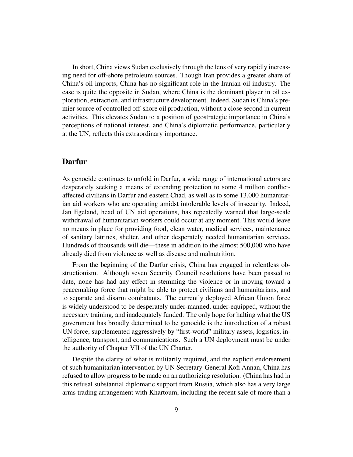In short, China views Sudan exclusively through the lens of very rapidly increasing need for off-shore petroleum sources. Though Iran provides a greater share of China's oil imports, China has no significant role in the Iranian oil industry. The case is quite the opposite in Sudan, where China is the dominant player in oil exploration, extraction, and infrastructure development. Indeed, Sudan is China's premier source of controlled off-shore oil production, without a close second in current activities. This elevates Sudan to a position of geostrategic importance in China's perceptions of national interest, and China's diplomatic performance, particularly at the UN, reflects this extraordinary importance.

#### Darfur

As genocide continues to unfold in Darfur, a wide range of international actors are desperately seeking a means of extending protection to some 4 million conflictaffected civilians in Darfur and eastern Chad, as well as to some 13,000 humanitarian aid workers who are operating amidst intolerable levels of insecurity. Indeed, Jan Egeland, head of UN aid operations, has repeatedly warned that large-scale withdrawal of humanitarian workers could occur at any moment. This would leave no means in place for providing food, clean water, medical services, maintenance of sanitary latrines, shelter, and other desperately needed humanitarian services. Hundreds of thousands will die—these in addition to the almost 500,000 who have already died from violence as well as disease and malnutrition.

From the beginning of the Darfur crisis, China has engaged in relentless obstructionism. Although seven Security Council resolutions have been passed to date, none has had any effect in stemming the violence or in moving toward a peacemaking force that might be able to protect civilians and humanitarians, and to separate and disarm combatants. The currently deployed African Union force is widely understood to be desperately under-manned, under-equipped, without the necessary training, and inadequately funded. The only hope for halting what the US government has broadly determined to be genocide is the introduction of a robust UN force, supplemented aggressively by "first-world" military assets, logistics, intelligence, transport, and communications. Such a UN deployment must be under the authority of Chapter VII of the UN Charter.

Despite the clarity of what is militarily required, and the explicit endorsement of such humanitarian intervention by UN Secretary-General Kofi Annan, China has refused to allow progress to be made on an authorizing resolution. (China has had in this refusal substantial diplomatic support from Russia, which also has a very large arms trading arrangement with Khartoum, including the recent sale of more than a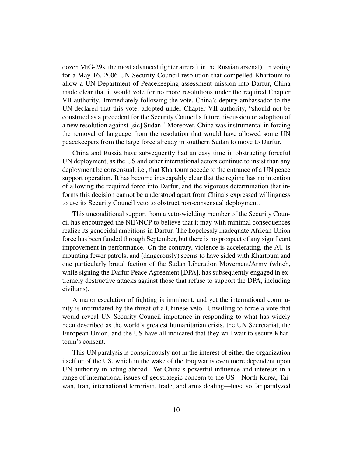dozen MiG-29s, the most advanced fighter aircraft in the Russian arsenal). In voting for a May 16, 2006 UN Security Council resolution that compelled Khartoum to allow a UN Department of Peacekeeping assessment mission into Darfur, China made clear that it would vote for no more resolutions under the required Chapter VII authority. Immediately following the vote, China's deputy ambassador to the UN declared that this vote, adopted under Chapter VII authority, "should not be construed as a precedent for the Security Council's future discussion or adoption of a new resolution against [sic] Sudan." Moreover, China was instrumental in forcing the removal of language from the resolution that would have allowed some UN peacekeepers from the large force already in southern Sudan to move to Darfur.

China and Russia have subsequently had an easy time in obstructing forceful UN deployment, as the US and other international actors continue to insist than any deployment be consensual, i.e., that Khartoum accede to the entrance of a UN peace support operation. It has become inescapably clear that the regime has no intention of allowing the required force into Darfur, and the vigorous determination that informs this decision cannot be understood apart from China's expressed willingness to use its Security Council veto to obstruct non-consensual deployment.

This unconditional support from a veto-wielding member of the Security Council has encouraged the NIF/NCP to believe that it may with minimal consequences realize its genocidal ambitions in Darfur. The hopelessly inadequate African Union force has been funded through September, but there is no prospect of any significant improvement in performance. On the contrary, violence is accelerating, the AU is mounting fewer patrols, and (dangerously) seems to have sided with Khartoum and one particularly brutal faction of the Sudan Liberation Movement/Army (which, while signing the Darfur Peace Agreement [DPA], has subsequently engaged in extremely destructive attacks against those that refuse to support the DPA, including civilians).

A major escalation of fighting is imminent, and yet the international community is intimidated by the threat of a Chinese veto. Unwilling to force a vote that would reveal UN Security Council impotence in responding to what has widely been described as the world's greatest humanitarian crisis, the UN Secretariat, the European Union, and the US have all indicated that they will wait to secure Khartoum's consent.

This UN paralysis is conspicuously not in the interest of either the organization itself or of the US, which in the wake of the Iraq war is even more dependent upon UN authority in acting abroad. Yet China's powerful influence and interests in a range of international issues of geostrategic concern to the US—North Korea, Taiwan, Iran, international terrorism, trade, and arms dealing—have so far paralyzed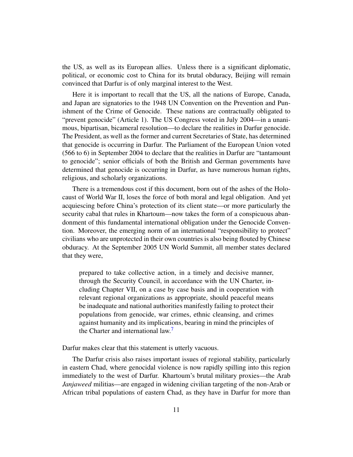the US, as well as its European allies. Unless there is a significant diplomatic, political, or economic cost to China for its brutal obduracy, Beijing will remain convinced that Darfur is of only marginal interest to the West.

Here it is important to recall that the US, all the nations of Europe, Canada, and Japan are signatories to the 1948 UN Convention on the Prevention and Punishment of the Crime of Genocide. These nations are contractually obligated to "prevent genocide" (Article 1). The US Congress voted in July 2004—in a unanimous, bipartisan, bicameral resolution—to declare the realities in Darfur genocide. The President, as well as the former and current Secretaries of State, has determined that genocide is occurring in Darfur. The Parliament of the European Union voted (566 to 6) in September 2004 to declare that the realities in Darfur are "tantamount to genocide"; senior officials of both the British and German governments have determined that genocide is occurring in Darfur, as have numerous human rights, religious, and scholarly organizations.

There is a tremendous cost if this document, born out of the ashes of the Holocaust of World War II, loses the force of both moral and legal obligation. And yet acquiescing before China's protection of its client state—or more particularly the security cabal that rules in Khartoum—now takes the form of a conspicuous abandonment of this fundamental international obligation under the Genocide Convention. Moreover, the emerging norm of an international "responsibility to protect" civilians who are unprotected in their own countries is also being flouted by Chinese obduracy. At the September 2005 UN World Summit, all member states declared that they were,

<span id="page-10-0"></span>prepared to take collective action, in a timely and decisive manner, through the Security Council, in accordance with the UN Charter, including Chapter VII, on a case by case basis and in cooperation with relevant regional organizations as appropriate, should peaceful means be inadequate and national authorities manifestly failing to protect their populations from genocide, war crimes, ethnic cleansing, and crimes against humanity and its implications, bearing in mind the principles of the Charter and international law.<sup>[7](#page-13-6)</sup>

Darfur makes clear that this statement is utterly vacuous.

The Darfur crisis also raises important issues of regional stability, particularly in eastern Chad, where genocidal violence is now rapidly spilling into this region immediately to the west of Darfur. Khartoum's brutal military proxies—the Arab *Janjaweed* militias—are engaged in widening civilian targeting of the non-Arab or African tribal populations of eastern Chad, as they have in Darfur for more than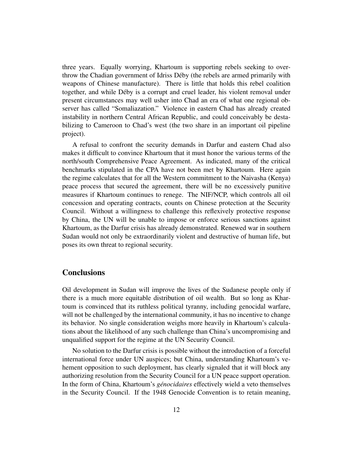three years. Equally worrying, Khartoum is supporting rebels seeking to overthrow the Chadian government of Idriss Déby (the rebels are armed primarily with weapons of Chinese manufacture). There is little that holds this rebel coalition together, and while Déby is a corrupt and cruel leader, his violent removal under present circumstances may well usher into Chad an era of what one regional observer has called "Somaliazation." Violence in eastern Chad has already created instability in northern Central African Republic, and could conceivably be destabilizing to Cameroon to Chad's west (the two share in an important oil pipeline project).

A refusal to confront the security demands in Darfur and eastern Chad also makes it difficult to convince Khartoum that it must honor the various terms of the north/south Comprehensive Peace Agreement. As indicated, many of the critical benchmarks stipulated in the CPA have not been met by Khartoum. Here again the regime calculates that for all the Western commitment to the Naivasha (Kenya) peace process that secured the agreement, there will be no excessively punitive measures if Khartoum continues to renege. The NIF/NCP, which controls all oil concession and operating contracts, counts on Chinese protection at the Security Council. Without a willingness to challenge this reflexively protective response by China, the UN will be unable to impose or enforce serious sanctions against Khartoum, as the Darfur crisis has already demonstrated. Renewed war in southern Sudan would not only be extraordinarily violent and destructive of human life, but poses its own threat to regional security.

#### **Conclusions**

Oil development in Sudan will improve the lives of the Sudanese people only if there is a much more equitable distribution of oil wealth. But so long as Khartoum is convinced that its ruthless political tyranny, including genocidal warfare, will not be challenged by the international community, it has no incentive to change its behavior. No single consideration weighs more heavily in Khartoum's calculations about the likelihood of any such challenge than China's uncompromising and unqualified support for the regime at the UN Security Council.

No solution to the Darfur crisis is possible without the introduction of a forceful international force under UN auspices; but China, understanding Khartoum's vehement opposition to such deployment, has clearly signaled that it will block any authorizing resolution from the Security Council for a UN peace support operation. In the form of China, Khartoum's *génocidaires* effectively wield a veto themselves in the Security Council. If the 1948 Genocide Convention is to retain meaning,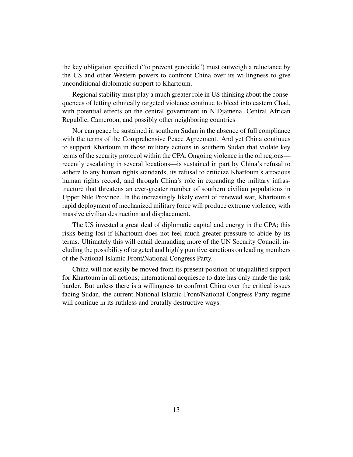the key obligation specified ("to prevent genocide") must outweigh a reluctance by the US and other Western powers to confront China over its willingness to give unconditional diplomatic support to Khartoum.

Regional stability must play a much greater role in US thinking about the consequences of letting ethnically targeted violence continue to bleed into eastern Chad, with potential effects on the central government in N'Djamena, Central African Republic, Cameroon, and possibly other neighboring countries

Nor can peace be sustained in southern Sudan in the absence of full compliance with the terms of the Comprehensive Peace Agreement. And yet China continues to support Khartoum in those military actions in southern Sudan that violate key terms of the security protocol within the CPA. Ongoing violence in the oil regions recently escalating in several locations—is sustained in part by China's refusal to adhere to any human rights standards, its refusal to criticize Khartoum's atrocious human rights record, and through China's role in expanding the military infrastructure that threatens an ever-greater number of southern civilian populations in Upper Nile Province. In the increasingly likely event of renewed war, Khartoum's rapid deployment of mechanized military force will produce extreme violence, with massive civilian destruction and displacement.

The US invested a great deal of diplomatic capital and energy in the CPA; this risks being lost if Khartoum does not feel much greater pressure to abide by its terms. Ultimately this will entail demanding more of the UN Security Council, including the possibility of targeted and highly punitive sanctions on leading members of the National Islamic Front/National Congress Party.

China will not easily be moved from its present position of unqualified support for Khartoum in all actions; international acquiesce to date has only made the task harder. But unless there is a willingness to confront China over the critical issues facing Sudan, the current National Islamic Front/National Congress Party regime will continue in its ruthless and brutally destructive ways.